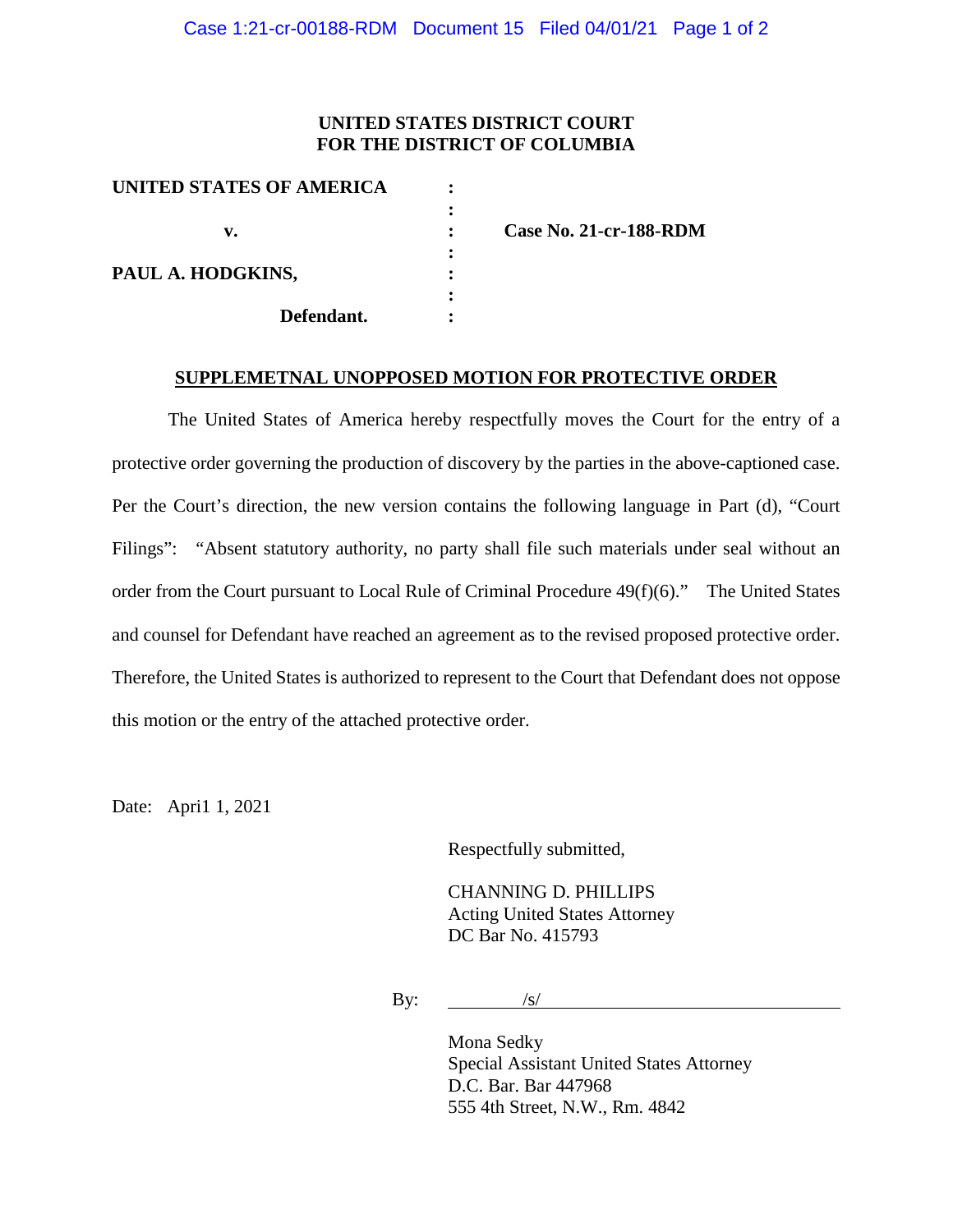## **UNITED STATES DISTRICT COURT FOR THE DISTRICT OF COLUMBIA**

| UNITED STATES OF AMERICA |                               |
|--------------------------|-------------------------------|
| v.                       | <b>Case No. 21-cr-188-RDM</b> |
| PAUL A. HODGKINS,        |                               |
| Defendant.               |                               |

#### **SUPPLEMETNAL UNOPPOSED MOTION FOR PROTECTIVE ORDER**

The United States of America hereby respectfully moves the Court for the entry of a protective order governing the production of discovery by the parties in the above-captioned case. Per the Court's direction, the new version contains the following language in Part (d), "Court Filings": "Absent statutory authority, no party shall file such materials under seal without an order from the Court pursuant to Local Rule of Criminal Procedure 49(f)(6)." The United States and counsel for Defendant have reached an agreement as to the revised proposed protective order. Therefore, the United States is authorized to represent to the Court that Defendant does not oppose this motion or the entry of the attached protective order.

Date: Apri1 1, 2021

Respectfully submitted,

CHANNING D. PHILLIPS Acting United States Attorney DC Bar No. 415793

By:  $\frac{|s|}{\sqrt{2\pi}}$ 

Mona Sedky Special Assistant United States Attorney D.C. Bar. Bar 447968 555 4th Street, N.W., Rm. 4842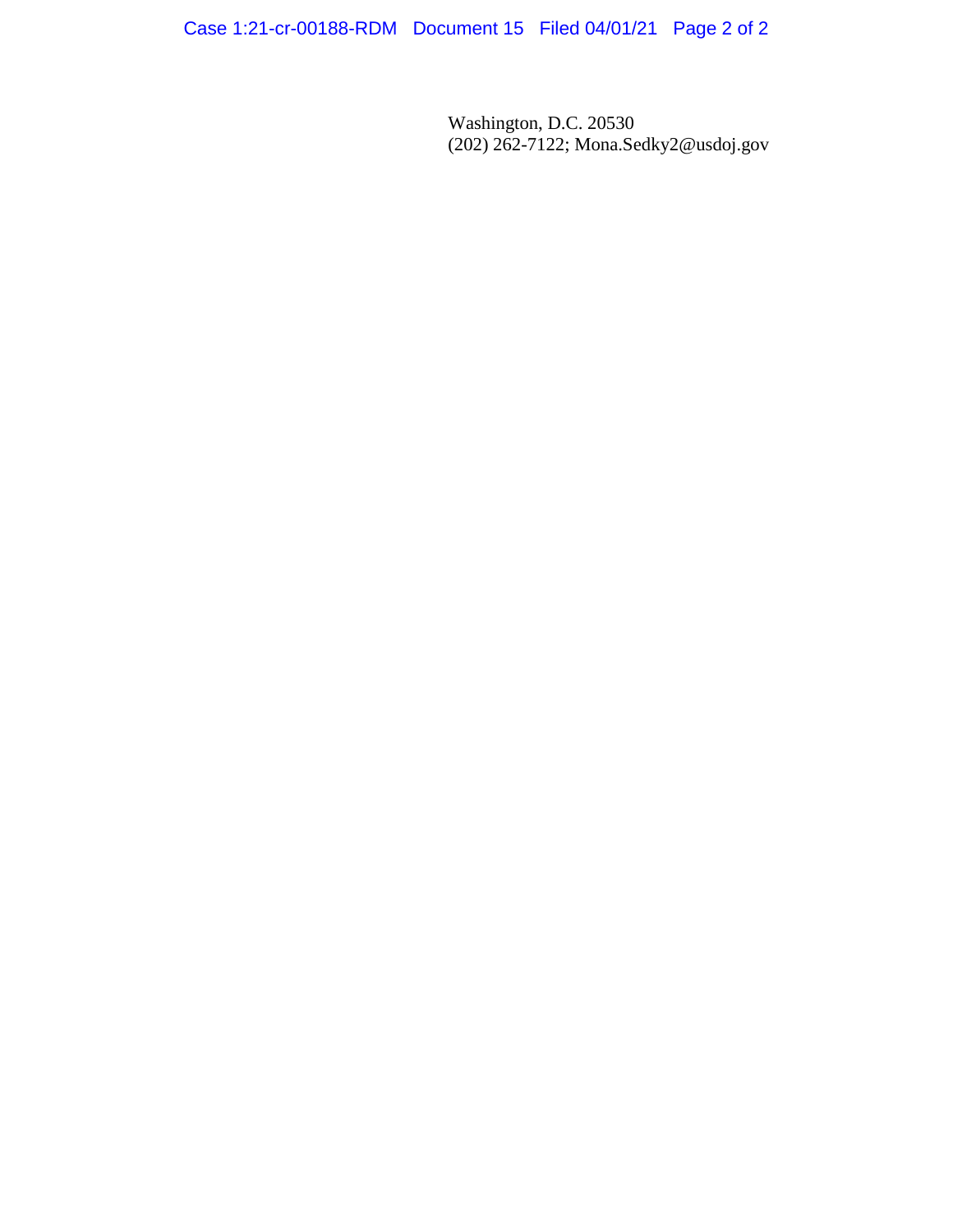Case 1:21-cr-00188-RDM Document 15 Filed 04/01/21 Page 2 of 2

Washington, D.C. 20530 (202) 262-7122; Mona.Sedky2@usdoj.gov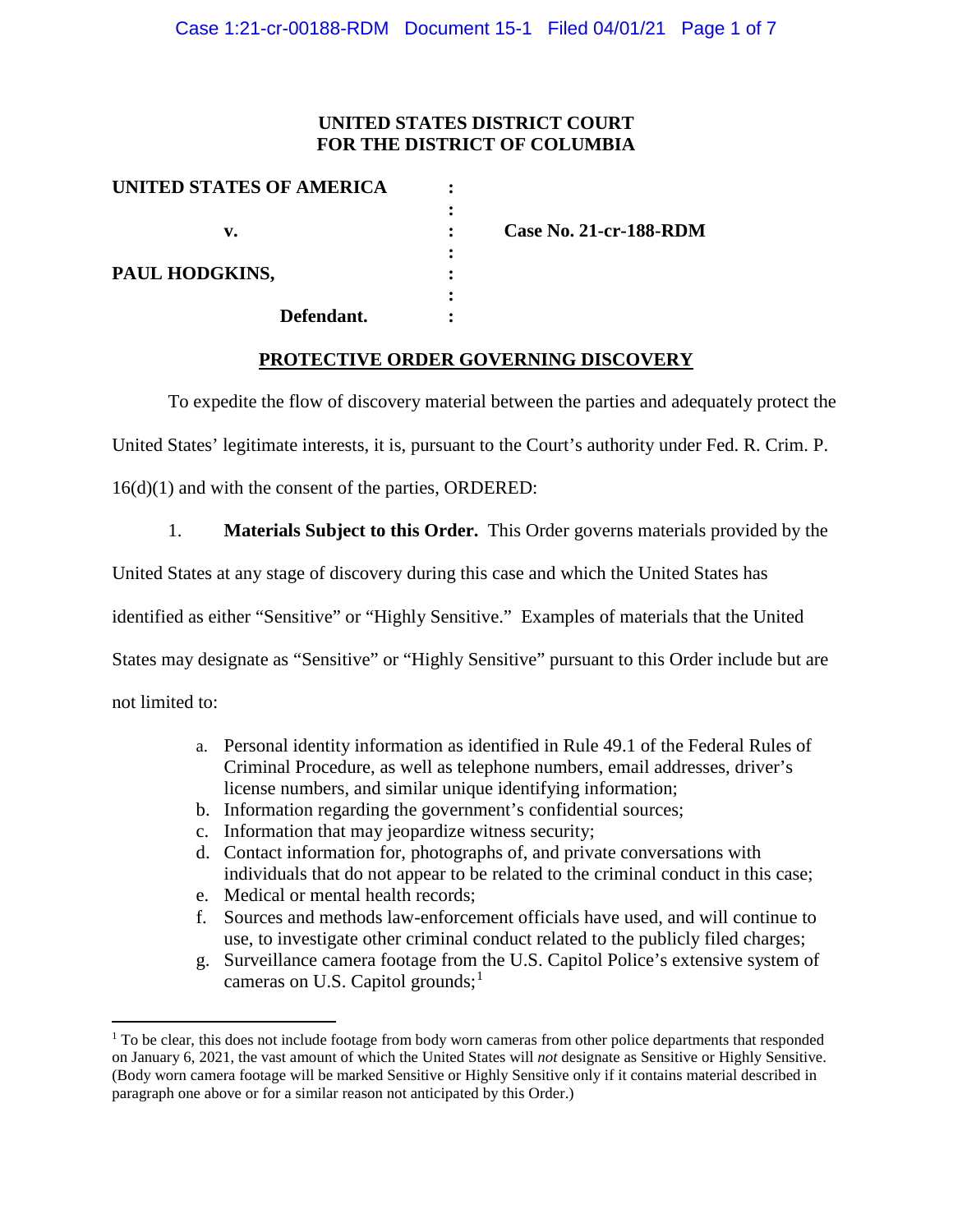## **UNITED STATES DISTRICT COURT FOR THE DISTRICT OF COLUMBIA**

| UNITED STATES OF AMERICA |                               |
|--------------------------|-------------------------------|
|                          |                               |
| v.                       | <b>Case No. 21-cr-188-RDM</b> |
|                          |                               |
| PAUL HODGKINS,           |                               |
|                          |                               |
| Defendant.               |                               |

## **PROTECTIVE ORDER GOVERNING DISCOVERY**

To expedite the flow of discovery material between the parties and adequately protect the

United States' legitimate interests, it is, pursuant to the Court's authority under Fed. R. Crim. P.

16(d)(1) and with the consent of the parties, ORDERED:

1. **Materials Subject to this Order.** This Order governs materials provided by the

United States at any stage of discovery during this case and which the United States has

identified as either "Sensitive" or "Highly Sensitive." Examples of materials that the United

States may designate as "Sensitive" or "Highly Sensitive" pursuant to this Order include but are

not limited to:

- a. Personal identity information as identified in Rule 49.1 of the Federal Rules of Criminal Procedure, as well as telephone numbers, email addresses, driver's license numbers, and similar unique identifying information;
- b. Information regarding the government's confidential sources;
- c. Information that may jeopardize witness security;
- d. Contact information for, photographs of, and private conversations with individuals that do not appear to be related to the criminal conduct in this case;
- e. Medical or mental health records;
- f. Sources and methods law-enforcement officials have used, and will continue to use, to investigate other criminal conduct related to the publicly filed charges;
- g. Surveillance camera footage from the U.S. Capitol Police's extensive system of cameras on U.S. Capitol grounds;<sup>1</sup>

<sup>&</sup>lt;sup>1</sup> To be clear, this does not include footage from body worn cameras from other police departments that responded on January 6, 2021, the vast amount of which the United States will *not* designate as Sensitive or Highly Sensitive. (Body worn camera footage will be marked Sensitive or Highly Sensitive only if it contains material described in paragraph one above or for a similar reason not anticipated by this Order.)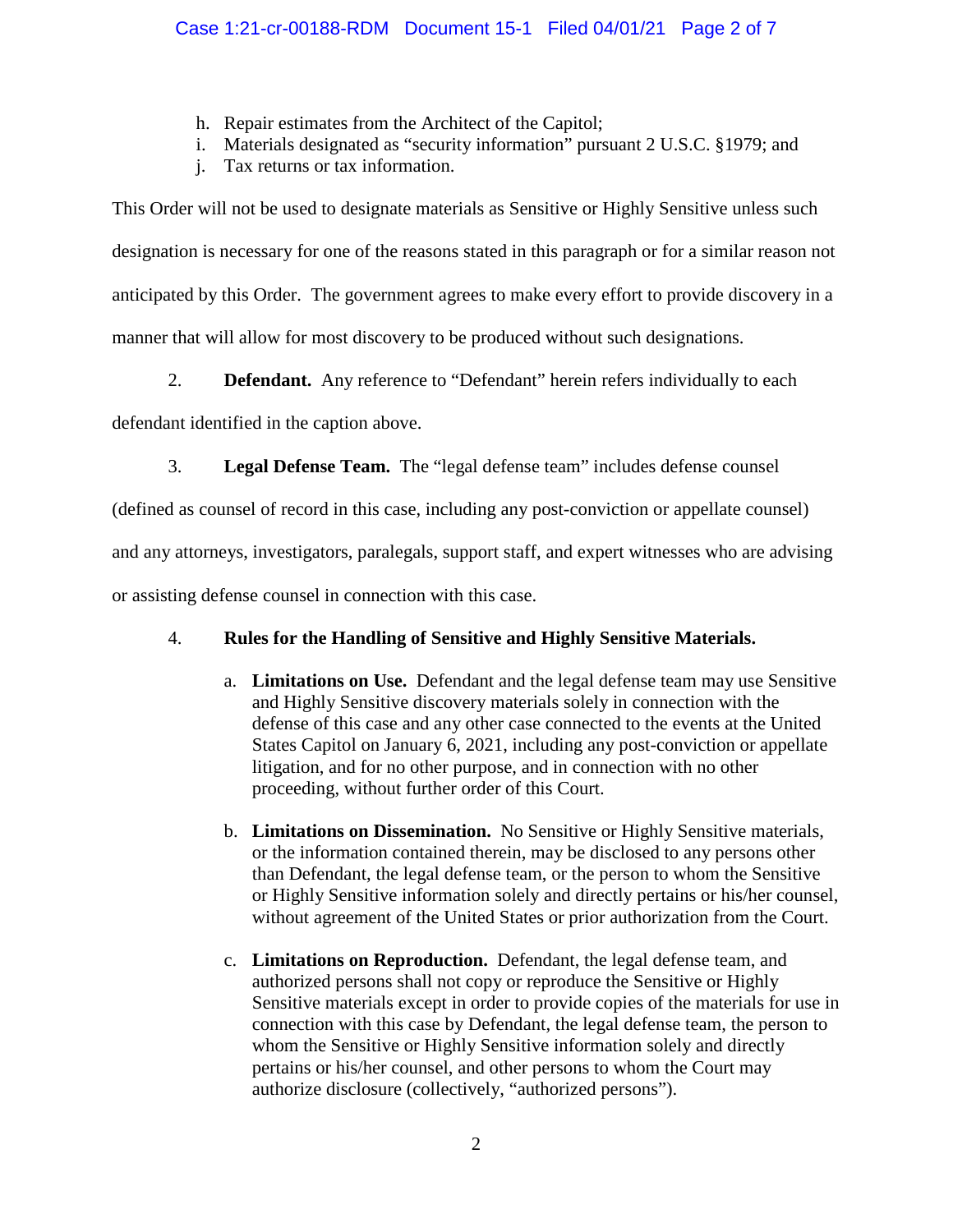- h. Repair estimates from the Architect of the Capitol;
- i. Materials designated as "security information" pursuant 2 U.S.C. §1979; and
- j. Tax returns or tax information.

This Order will not be used to designate materials as Sensitive or Highly Sensitive unless such designation is necessary for one of the reasons stated in this paragraph or for a similar reason not anticipated by this Order. The government agrees to make every effort to provide discovery in a manner that will allow for most discovery to be produced without such designations.

2. **Defendant.** Any reference to "Defendant" herein refers individually to each

defendant identified in the caption above.

3. **Legal Defense Team.** The "legal defense team" includes defense counsel

(defined as counsel of record in this case, including any post-conviction or appellate counsel)

and any attorneys, investigators, paralegals, support staff, and expert witnesses who are advising

or assisting defense counsel in connection with this case.

# 4. **Rules for the Handling of Sensitive and Highly Sensitive Materials.**

- a. **Limitations on Use.** Defendant and the legal defense team may use Sensitive and Highly Sensitive discovery materials solely in connection with the defense of this case and any other case connected to the events at the United States Capitol on January 6, 2021, including any post-conviction or appellate litigation, and for no other purpose, and in connection with no other proceeding, without further order of this Court.
- b. **Limitations on Dissemination.** No Sensitive or Highly Sensitive materials, or the information contained therein, may be disclosed to any persons other than Defendant, the legal defense team, or the person to whom the Sensitive or Highly Sensitive information solely and directly pertains or his/her counsel, without agreement of the United States or prior authorization from the Court.
- c. **Limitations on Reproduction.** Defendant, the legal defense team, and authorized persons shall not copy or reproduce the Sensitive or Highly Sensitive materials except in order to provide copies of the materials for use in connection with this case by Defendant, the legal defense team, the person to whom the Sensitive or Highly Sensitive information solely and directly pertains or his/her counsel, and other persons to whom the Court may authorize disclosure (collectively, "authorized persons").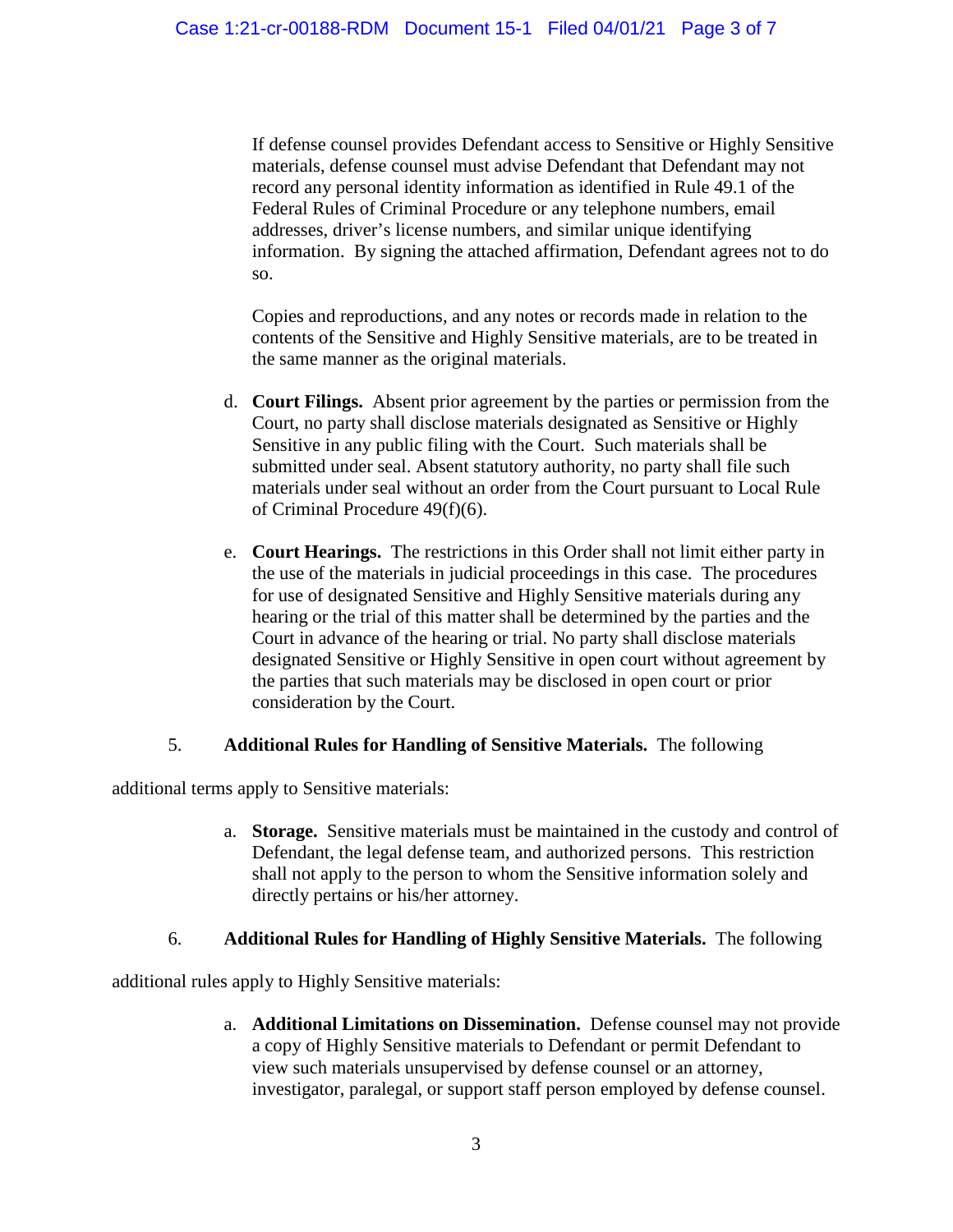If defense counsel provides Defendant access to Sensitive or Highly Sensitive materials, defense counsel must advise Defendant that Defendant may not record any personal identity information as identified in Rule 49.1 of the Federal Rules of Criminal Procedure or any telephone numbers, email addresses, driver's license numbers, and similar unique identifying information. By signing the attached affirmation, Defendant agrees not to do so.

Copies and reproductions, and any notes or records made in relation to the contents of the Sensitive and Highly Sensitive materials, are to be treated in the same manner as the original materials.

- d. **Court Filings.** Absent prior agreement by the parties or permission from the Court, no party shall disclose materials designated as Sensitive or Highly Sensitive in any public filing with the Court. Such materials shall be submitted under seal. Absent statutory authority, no party shall file such materials under seal without an order from the Court pursuant to Local Rule of Criminal Procedure 49(f)(6).
- e. **Court Hearings.** The restrictions in this Order shall not limit either party in the use of the materials in judicial proceedings in this case. The procedures for use of designated Sensitive and Highly Sensitive materials during any hearing or the trial of this matter shall be determined by the parties and the Court in advance of the hearing or trial. No party shall disclose materials designated Sensitive or Highly Sensitive in open court without agreement by the parties that such materials may be disclosed in open court or prior consideration by the Court.

## 5. **Additional Rules for Handling of Sensitive Materials.** The following

additional terms apply to Sensitive materials:

a. **Storage.** Sensitive materials must be maintained in the custody and control of Defendant, the legal defense team, and authorized persons. This restriction shall not apply to the person to whom the Sensitive information solely and directly pertains or his/her attorney.

## 6. **Additional Rules for Handling of Highly Sensitive Materials.** The following

additional rules apply to Highly Sensitive materials:

a. **Additional Limitations on Dissemination.** Defense counsel may not provide a copy of Highly Sensitive materials to Defendant or permit Defendant to view such materials unsupervised by defense counsel or an attorney, investigator, paralegal, or support staff person employed by defense counsel.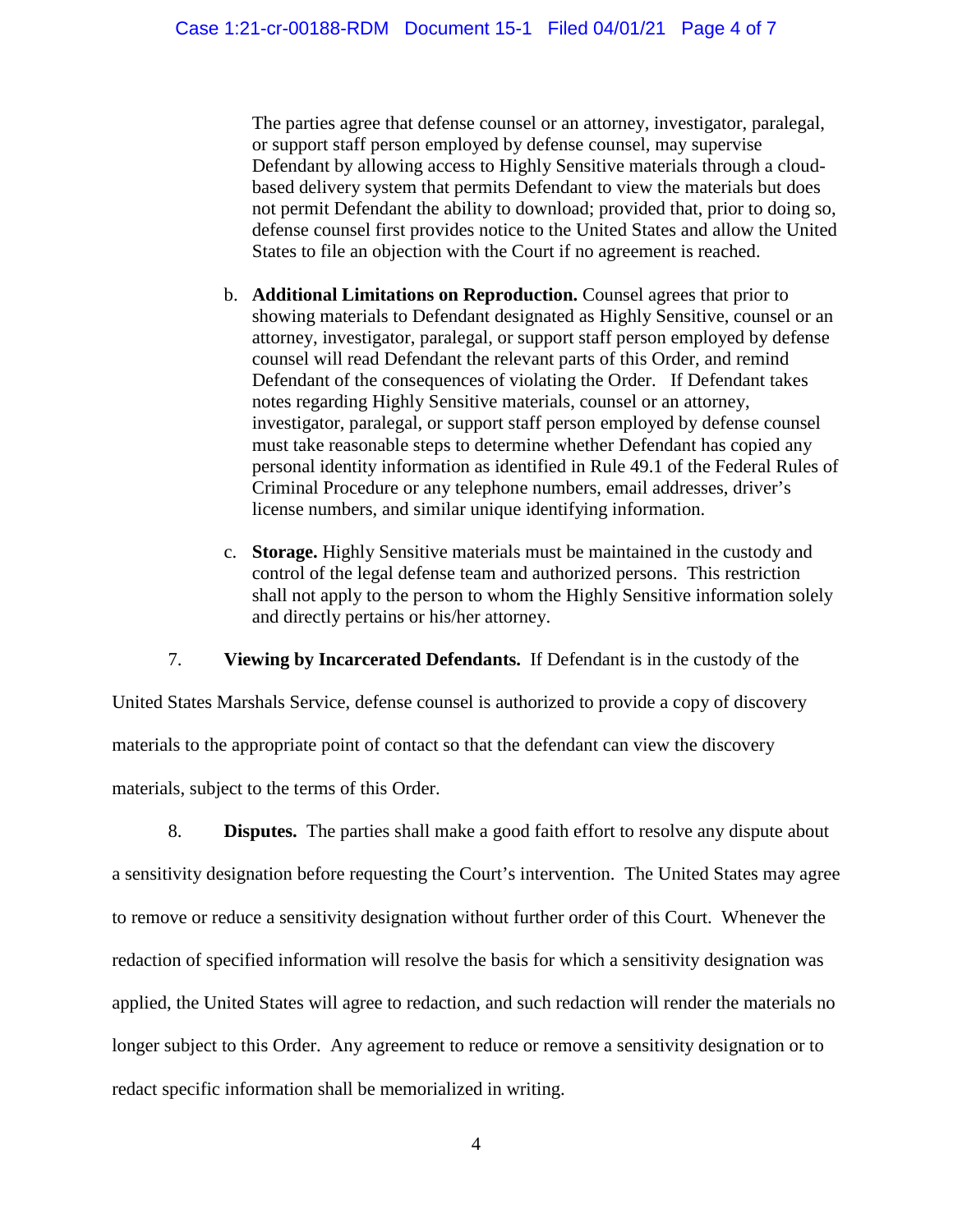The parties agree that defense counsel or an attorney, investigator, paralegal, or support staff person employed by defense counsel, may supervise Defendant by allowing access to Highly Sensitive materials through a cloudbased delivery system that permits Defendant to view the materials but does not permit Defendant the ability to download; provided that, prior to doing so, defense counsel first provides notice to the United States and allow the United States to file an objection with the Court if no agreement is reached.

- b. **Additional Limitations on Reproduction.** Counsel agrees that prior to showing materials to Defendant designated as Highly Sensitive, counsel or an attorney, investigator, paralegal, or support staff person employed by defense counsel will read Defendant the relevant parts of this Order, and remind Defendant of the consequences of violating the Order. If Defendant takes notes regarding Highly Sensitive materials, counsel or an attorney, investigator, paralegal, or support staff person employed by defense counsel must take reasonable steps to determine whether Defendant has copied any personal identity information as identified in Rule 49.1 of the Federal Rules of Criminal Procedure or any telephone numbers, email addresses, driver's license numbers, and similar unique identifying information.
- c. **Storage.** Highly Sensitive materials must be maintained in the custody and control of the legal defense team and authorized persons. This restriction shall not apply to the person to whom the Highly Sensitive information solely and directly pertains or his/her attorney.

7. **Viewing by Incarcerated Defendants.** If Defendant is in the custody of the

United States Marshals Service, defense counsel is authorized to provide a copy of discovery materials to the appropriate point of contact so that the defendant can view the discovery materials, subject to the terms of this Order.

8. **Disputes.** The parties shall make a good faith effort to resolve any dispute about a sensitivity designation before requesting the Court's intervention. The United States may agree to remove or reduce a sensitivity designation without further order of this Court. Whenever the redaction of specified information will resolve the basis for which a sensitivity designation was applied, the United States will agree to redaction, and such redaction will render the materials no longer subject to this Order. Any agreement to reduce or remove a sensitivity designation or to redact specific information shall be memorialized in writing.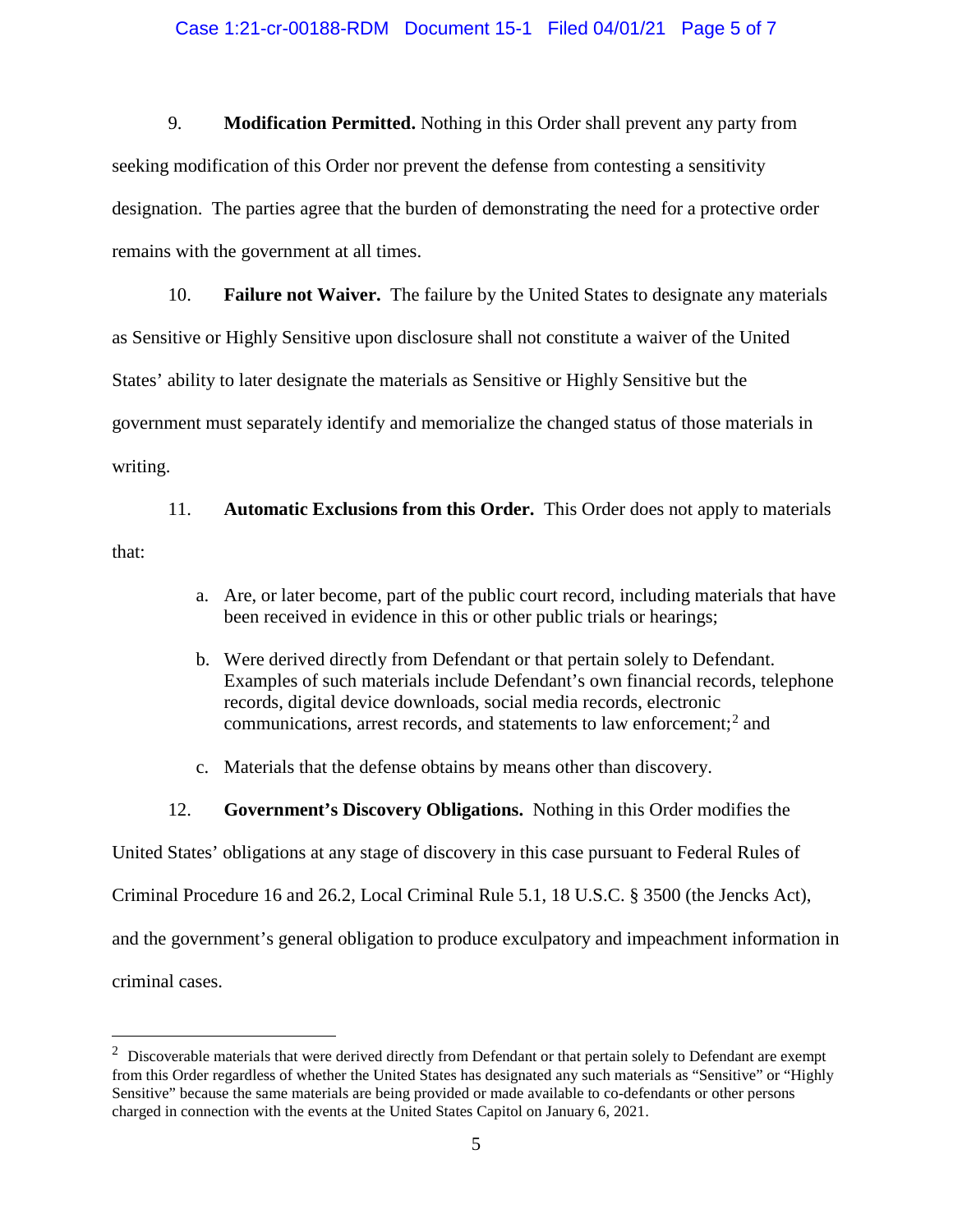#### Case 1:21-cr-00188-RDM Document 15-1 Filed 04/01/21 Page 5 of 7

9. **Modification Permitted.** Nothing in this Order shall prevent any party from seeking modification of this Order nor prevent the defense from contesting a sensitivity designation. The parties agree that the burden of demonstrating the need for a protective order remains with the government at all times.

10. **Failure not Waiver.** The failure by the United States to designate any materials as Sensitive or Highly Sensitive upon disclosure shall not constitute a waiver of the United States' ability to later designate the materials as Sensitive or Highly Sensitive but the government must separately identify and memorialize the changed status of those materials in writing.

11. **Automatic Exclusions from this Order.** This Order does not apply to materials that:

- a. Are, or later become, part of the public court record, including materials that have been received in evidence in this or other public trials or hearings;
- b. Were derived directly from Defendant or that pertain solely to Defendant. Examples of such materials include Defendant's own financial records, telephone records, digital device downloads, social media records, electronic communications, arrest records, and statements to law enforcement; <sup>2</sup> and
- c. Materials that the defense obtains by means other than discovery.
- 12. **Government's Discovery Obligations.** Nothing in this Order modifies the

United States' obligations at any stage of discovery in this case pursuant to Federal Rules of

Criminal Procedure 16 and 26.2, Local Criminal Rule 5.1, 18 U.S.C. § 3500 (the Jencks Act),

and the government's general obligation to produce exculpatory and impeachment information in

criminal cases.

 $\frac{1}{2}$  $2$  Discoverable materials that were derived directly from Defendant or that pertain solely to Defendant are exempt from this Order regardless of whether the United States has designated any such materials as "Sensitive" or "Highly Sensitive" because the same materials are being provided or made available to co-defendants or other persons charged in connection with the events at the United States Capitol on January 6, 2021.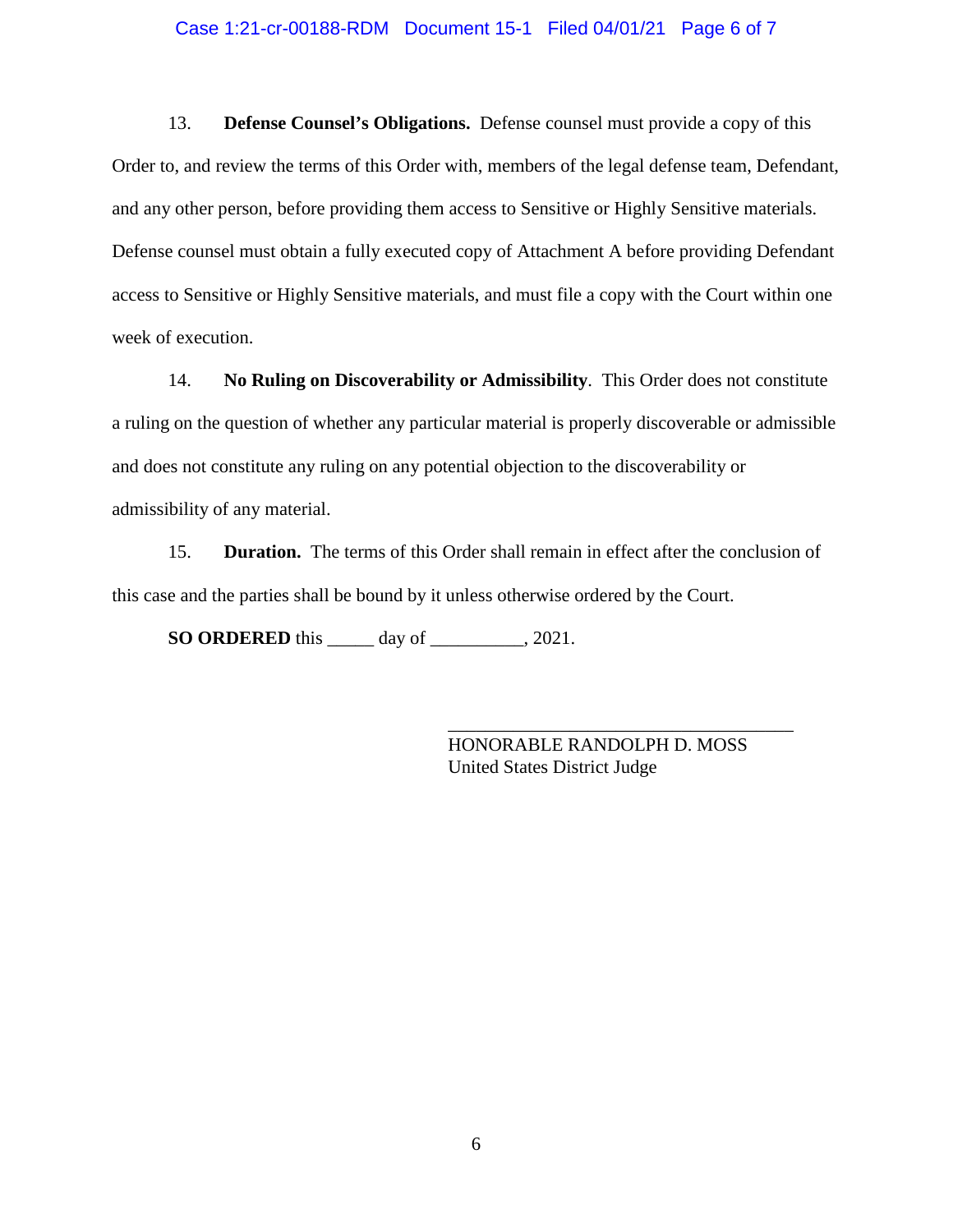#### Case 1:21-cr-00188-RDM Document 15-1 Filed 04/01/21 Page 6 of 7

13. **Defense Counsel's Obligations.** Defense counsel must provide a copy of this Order to, and review the terms of this Order with, members of the legal defense team, Defendant, and any other person, before providing them access to Sensitive or Highly Sensitive materials. Defense counsel must obtain a fully executed copy of Attachment A before providing Defendant access to Sensitive or Highly Sensitive materials, and must file a copy with the Court within one week of execution.

14. **No Ruling on Discoverability or Admissibility**. This Order does not constitute a ruling on the question of whether any particular material is properly discoverable or admissible and does not constitute any ruling on any potential objection to the discoverability or admissibility of any material.

15. **Duration.** The terms of this Order shall remain in effect after the conclusion of this case and the parties shall be bound by it unless otherwise ordered by the Court.

**SO ORDERED** this \_\_\_\_\_ day of \_\_\_\_\_\_\_\_\_\_, 2021.

HONORABLE RANDOLPH D. MOSS United States District Judge

\_\_\_\_\_\_\_\_\_\_\_\_\_\_\_\_\_\_\_\_\_\_\_\_\_\_\_\_\_\_\_\_\_\_\_\_\_